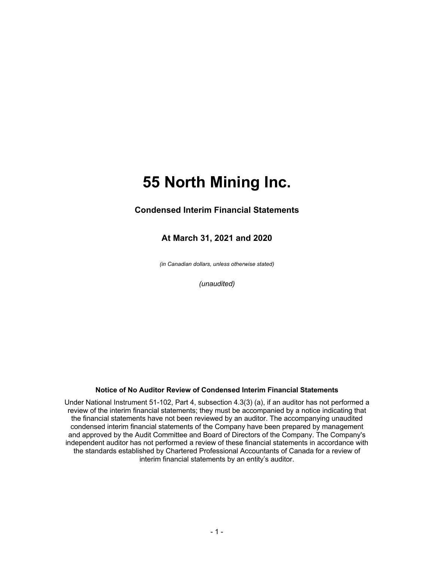#### **Condensed Interim Financial Statements**

#### **At March 31, 2021 and 2020**

*(in Canadian dollars, unless otherwise stated)*

*(unaudited)*

#### **Notice of No Auditor Review of Condensed Interim Financial Statements**

Under National Instrument 51-102, Part 4, subsection 4.3(3) (a), if an auditor has not performed a review of the interim financial statements; they must be accompanied by a notice indicating that the financial statements have not been reviewed by an auditor. The accompanying unaudited condensed interim financial statements of the Company have been prepared by management and approved by the Audit Committee and Board of Directors of the Company. The Company's independent auditor has not performed a review of these financial statements in accordance with the standards established by Chartered Professional Accountants of Canada for a review of interim financial statements by an entity's auditor.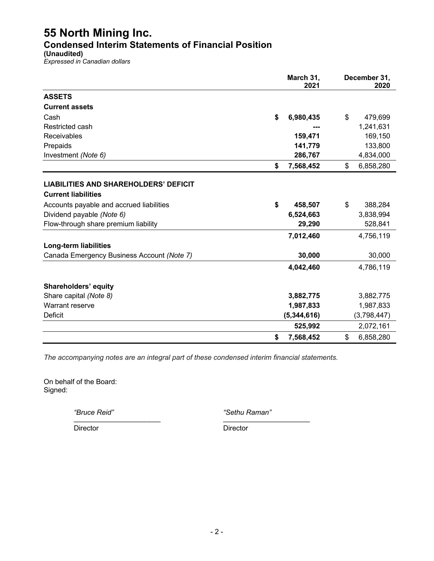**Condensed Interim Statements of Financial Position**

**(Unaudited)**

*Expressed in Canadian dollars*

|                                              | March 31,<br>2021 | December 31,<br>2020 |
|----------------------------------------------|-------------------|----------------------|
| <b>ASSETS</b>                                |                   |                      |
| <b>Current assets</b>                        |                   |                      |
| Cash                                         | \$<br>6,980,435   | \$<br>479,699        |
| Restricted cash                              |                   | 1,241,631            |
| Receivables                                  | 159,471           | 169,150              |
| Prepaids                                     | 141,779           | 133,800              |
| Investment (Note 6)                          | 286,767           | 4,834,000            |
|                                              | \$<br>7,568,452   | \$<br>6,858,280      |
| <b>LIABILITIES AND SHAREHOLDERS' DEFICIT</b> |                   |                      |
| <b>Current liabilities</b>                   |                   |                      |
| Accounts payable and accrued liabilities     | \$<br>458,507     | \$<br>388,284        |
| Dividend payable (Note 6)                    | 6,524,663         | 3,838,994            |
| Flow-through share premium liability         | 29,290            | 528,841              |
|                                              | 7,012,460         | 4,756,119            |
| <b>Long-term liabilities</b>                 |                   |                      |
| Canada Emergency Business Account (Note 7)   | 30,000            | 30,000               |
|                                              | 4,042,460         | 4,786,119            |
| <b>Shareholders' equity</b>                  |                   |                      |
| Share capital (Note 8)                       | 3,882,775         | 3,882,775            |
| Warrant reserve                              | 1,987,833         | 1,987,833            |
| Deficit                                      | (5,344,616)       | (3,798,447)          |
|                                              | 525,992           | 2,072,161            |
|                                              | \$<br>7,568,452   | \$<br>6,858,280      |

*The accompanying notes are an integral part of these condensed interim financial statements.*

On behalf of the Board: Signed:

*"Bruce Reid" "Sethu Raman"* \_\_\_\_\_\_\_\_\_\_\_\_\_\_\_\_\_\_\_\_\_\_ \_\_\_\_\_\_\_\_\_\_\_\_\_\_\_\_\_\_\_\_\_\_

Director Director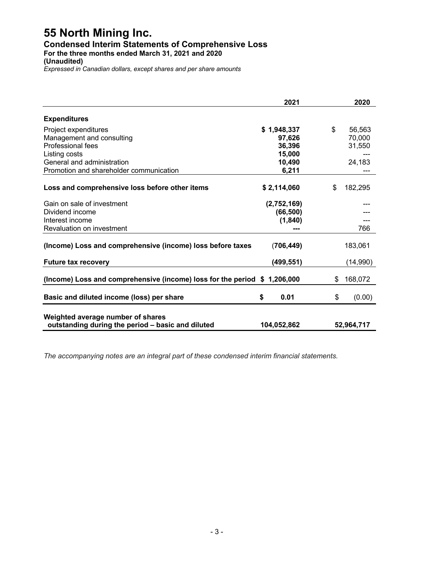#### **Condensed Interim Statements of Comprehensive Loss**

**For the three months ended March 31, 2021 and 2020**

**(Unaudited)**

*Expressed in Canadian dollars, except shares and per share amounts*

|                                                                          | 2021        | 2020          |
|--------------------------------------------------------------------------|-------------|---------------|
| <b>Expenditures</b>                                                      |             |               |
| Project expenditures                                                     | \$1,948,337 | \$<br>56,563  |
| Management and consulting                                                | 97,626      | 70,000        |
| Professional fees                                                        | 36,396      | 31,550        |
| Listing costs                                                            | 15,000      |               |
| General and administration                                               | 10,490      | 24,183        |
| Promotion and shareholder communication                                  | 6,211       |               |
|                                                                          |             |               |
| Loss and comprehensive loss before other items                           | \$2,114,060 | \$<br>182,295 |
| Gain on sale of investment                                               | (2,752,169) |               |
| Dividend income                                                          | (66, 500)   |               |
| Interest income                                                          | (1, 840)    |               |
| Revaluation on investment                                                |             | 766           |
|                                                                          |             |               |
| (Income) Loss and comprehensive (income) loss before taxes               | (706, 449)  | 183,061       |
| <b>Future tax recovery</b>                                               | (499,551)   | (14,990)      |
| (Income) Loss and comprehensive (income) loss for the period \$1,206,000 |             | \$<br>168,072 |
|                                                                          |             |               |
| Basic and diluted income (loss) per share                                | \$<br>0.01  | \$<br>(0.00)  |
|                                                                          |             |               |
| Weighted average number of shares                                        |             |               |
| outstanding during the period - basic and diluted                        | 104,052,862 | 52,964,717    |

*The accompanying notes are an integral part of these condensed interim financial statements.*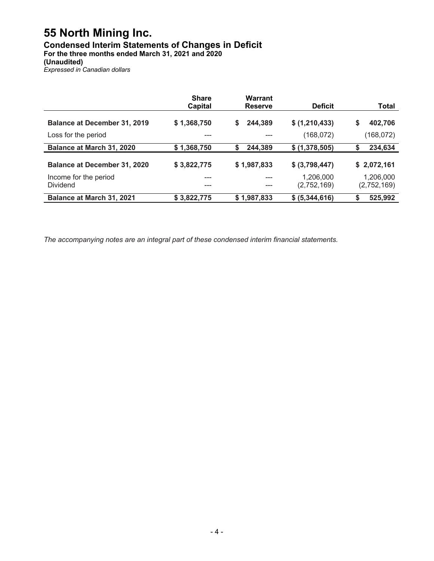### **Condensed Interim Statements of Changes in Deficit**

**For the three months ended March 31, 2021 and 2020**

#### **(Unaudited)**

*Expressed in Canadian dollars*

|                                          | <b>Share</b><br><b>Capital</b> | Warrant<br><b>Reserve</b> | <b>Deficit</b>           | Total                    |
|------------------------------------------|--------------------------------|---------------------------|--------------------------|--------------------------|
| <b>Balance at December 31, 2019</b>      | \$1,368,750                    | \$<br>244,389             | \$ (1,210,433)           | \$<br>402,706            |
| Loss for the period                      | ---                            |                           | (168,072)                | (168, 072)               |
| Balance at March 31, 2020                | \$1,368,750                    | \$<br>244,389             | \$ (1,378,505)           | 234,634<br>S             |
| <b>Balance at December 31, 2020</b>      | \$3,822,775                    | \$1,987,833               | \$ (3,798,447)           | \$2,072,161              |
| Income for the period<br><b>Dividend</b> | ---<br>---                     | ---<br>---                | 1,206,000<br>(2,752,169) | 1,206,000<br>(2,752,169) |
| <b>Balance at March 31, 2021</b>         | \$3,822,775                    | \$1,987,833               | \$ (5,344,616)           | 525,992                  |

*The accompanying notes are an integral part of these condensed interim financial statements.*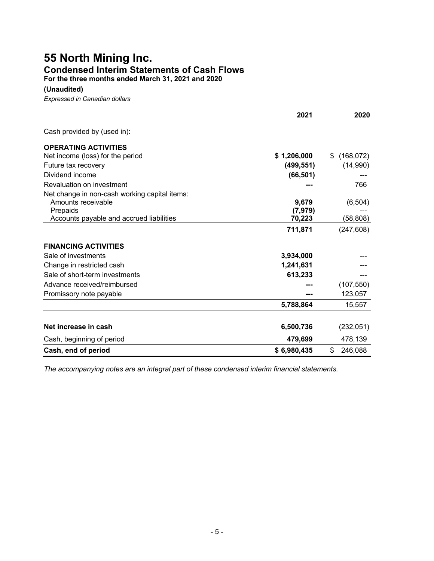## **55 North Mining Inc. Condensed Interim Statements of Cash Flows**

**For the three months ended March 31, 2021 and 2020**

**(Unaudited)**

*Expressed in Canadian dollars*

|                                               | 2021        | 2020             |
|-----------------------------------------------|-------------|------------------|
| Cash provided by (used in):                   |             |                  |
| <b>OPERATING ACTIVITIES</b>                   |             |                  |
| Net income (loss) for the period              | \$1,206,000 | \$<br>(168, 072) |
| Future tax recovery                           | (499, 551)  | (14,990)         |
| Dividend income                               | (66, 501)   |                  |
| Revaluation on investment                     |             | 766              |
| Net change in non-cash working capital items: |             |                  |
| Amounts receivable                            | 9,679       | (6, 504)         |
| Prepaids                                      | (7, 979)    |                  |
| Accounts payable and accrued liabilities      | 70,223      | (58, 808)        |
|                                               | 711,871     | (247, 608)       |
| <b>FINANCING ACTIVITIES</b>                   |             |                  |
| Sale of investments                           | 3,934,000   |                  |
| Change in restricted cash                     | 1,241,631   |                  |
| Sale of short-term investments                | 613,233     |                  |
| Advance received/reimbursed                   |             | (107, 550)       |
| Promissory note payable                       | ---         | 123,057          |
|                                               | 5,788,864   | 15,557           |
|                                               |             |                  |
| Net increase in cash                          | 6,500,736   | (232,051)        |
| Cash, beginning of period                     | 479,699     | 478,139          |
| Cash, end of period                           | \$6,980,435 | \$<br>246,088    |

*The accompanying notes are an integral part of these condensed interim financial statements.*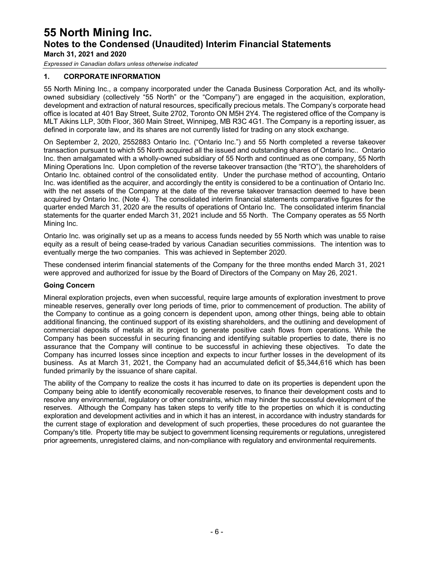*Expressed in Canadian dollars unless otherwise indicated*

#### **1. CORPORATE INFORMATION**

55 North Mining Inc., a company incorporated under the Canada Business Corporation Act, and its whollyowned subsidiary (collectively "55 North" or the "Company") are engaged in the acquisition, exploration, development and extraction of natural resources, specifically precious metals. The Company's corporate head office is located at 401 Bay Street, Suite 2702, Toronto ON M5H 2Y4. The registered office of the Company is MLT Aikins LLP, 30th Floor, 360 Main Street, Winnipeg, MB R3C 4G1. The Company is a reporting issuer, as defined in corporate law, and its shares are not currently listed for trading on any stock exchange.

On September 2, 2020, 2552883 Ontario Inc. ("Ontario Inc.") and 55 North completed a reverse takeover transaction pursuant to which 55 North acquired all the issued and outstanding shares of Ontario Inc.. Ontario Inc. then amalgamated with a wholly-owned subsidiary of 55 North and continued as one company, 55 North Mining Operations Inc. Upon completion of the reverse takeover transaction (the "RTO"), the shareholders of Ontario Inc. obtained control of the consolidated entity. Under the purchase method of accounting, Ontario Inc. was identified as the acquirer, and accordingly the entity is considered to be a continuation of Ontario Inc. with the net assets of the Company at the date of the reverse takeover transaction deemed to have been acquired by Ontario Inc. (Note 4). The consolidated interim financial statements comparative figures for the quarter ended March 31, 2020 are the results of operations of Ontario Inc. The consolidated interim financial statements for the quarter ended March 31, 2021 include and 55 North. The Company operates as 55 North Mining Inc.

Ontario Inc. was originally set up as a means to access funds needed by 55 North which was unable to raise equity as a result of being cease-traded by various Canadian securities commissions. The intention was to eventually merge the two companies. This was achieved in September 2020.

These condensed interim financial statements of the Company for the three months ended March 31, 2021 were approved and authorized for issue by the Board of Directors of the Company on May 26, 2021.

#### **Going Concern**

Mineral exploration projects, even when successful, require large amounts of exploration investment to prove mineable reserves, generally over long periods of time, prior to commencement of production. The ability of the Company to continue as a going concern is dependent upon, among other things, being able to obtain additional financing, the continued support of its existing shareholders, and the outlining and development of commercial deposits of metals at its project to generate positive cash flows from operations. While the Company has been successful in securing financing and identifying suitable properties to date, there is no assurance that the Company will continue to be successful in achieving these objectives. To date the Company has incurred losses since inception and expects to incur further losses in the development of its business. As at March 31, 2021, the Company had an accumulated deficit of \$5,344,616 which has been funded primarily by the issuance of share capital.

The ability of the Company to realize the costs it has incurred to date on its properties is dependent upon the Company being able to identify economically recoverable reserves, to finance their development costs and to resolve any environmental, regulatory or other constraints, which may hinder the successful development of the reserves. Although the Company has taken steps to verify title to the properties on which it is conducting exploration and development activities and in which it has an interest, in accordance with industry standards for the current stage of exploration and development of such properties, these procedures do not guarantee the Company's title. Property title may be subject to government licensing requirements or regulations, unregistered prior agreements, unregistered claims, and non-compliance with regulatory and environmental requirements.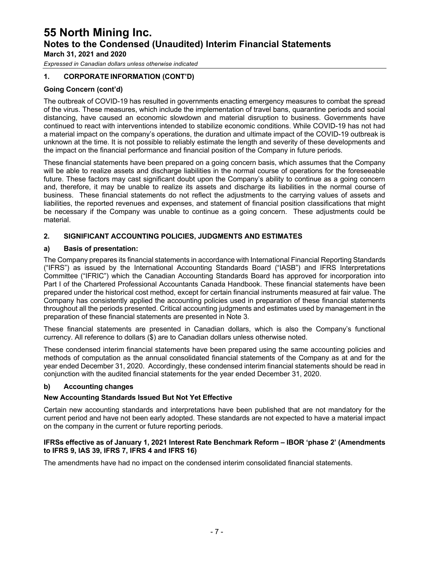*Expressed in Canadian dollars unless otherwise indicated*

#### **1. CORPORATE INFORMATION (CONT'D)**

#### **Going Concern (cont'd)**

The outbreak of COVID-19 has resulted in governments enacting emergency measures to combat the spread of the virus. These measures, which include the implementation of travel bans, quarantine periods and social distancing, have caused an economic slowdown and material disruption to business. Governments have continued to react with interventions intended to stabilize economic conditions. While COVID-19 has not had a material impact on the company's operations, the duration and ultimate impact of the COVID-19 outbreak is unknown at the time. It is not possible to reliably estimate the length and severity of these developments and the impact on the financial performance and financial position of the Company in future periods.

These financial statements have been prepared on a going concern basis, which assumes that the Company will be able to realize assets and discharge liabilities in the normal course of operations for the foreseeable future. These factors may cast significant doubt upon the Company's ability to continue as a going concern and, therefore, it may be unable to realize its assets and discharge its liabilities in the normal course of business. These financial statements do not reflect the adjustments to the carrying values of assets and liabilities, the reported revenues and expenses, and statement of financial position classifications that might be necessary if the Company was unable to continue as a going concern. These adjustments could be material.

#### **2. SIGNIFICANT ACCOUNTING POLICIES, JUDGMENTS AND ESTIMATES**

#### **a) Basis of presentation:**

The Company prepares its financial statements in accordance with International Financial Reporting Standards ("IFRS") as issued by the International Accounting Standards Board ("IASB") and IFRS Interpretations Committee ("IFRIC") which the Canadian Accounting Standards Board has approved for incorporation into Part I of the Chartered Professional Accountants Canada Handbook. These financial statements have been prepared under the historical cost method, except for certain financial instruments measured at fair value. The Company has consistently applied the accounting policies used in preparation of these financial statements throughout all the periods presented. Critical accounting judgments and estimates used by management in the preparation of these financial statements are presented in Note 3.

These financial statements are presented in Canadian dollars, which is also the Company's functional currency. All reference to dollars (\$) are to Canadian dollars unless otherwise noted.

These condensed interim financial statements have been prepared using the same accounting policies and methods of computation as the annual consolidated financial statements of the Company as at and for the year ended December 31, 2020. Accordingly, these condensed interim financial statements should be read in conjunction with the audited financial statements for the year ended December 31, 2020.

#### **b) Accounting changes**

#### **New Accounting Standards Issued But Not Yet Effective**

Certain new accounting standards and interpretations have been published that are not mandatory for the current period and have not been early adopted. These standards are not expected to have a material impact on the company in the current or future reporting periods.

#### **IFRSs effective as of January 1, 2021 Interest Rate Benchmark Reform – IBOR 'phase 2' (Amendments to IFRS 9, IAS 39, IFRS 7, IFRS 4 and IFRS 16)**

The amendments have had no impact on the condensed interim consolidated financial statements.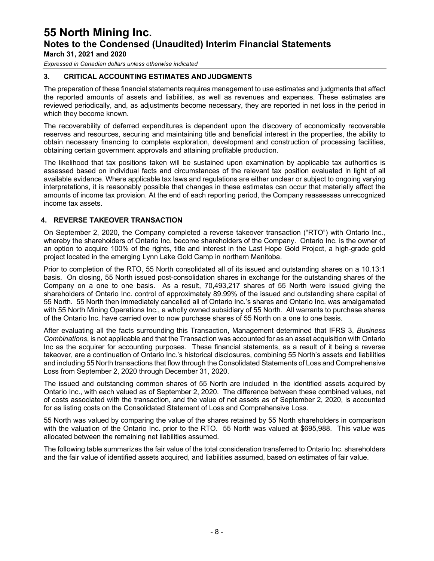*Expressed in Canadian dollars unless otherwise indicated*

#### **3. CRITICAL ACCOUNTING ESTIMATES ANDJUDGMENTS**

The preparation of these financial statements requires management to use estimates and judgments that affect the reported amounts of assets and liabilities, as well as revenues and expenses. These estimates are reviewed periodically, and, as adjustments become necessary, they are reported in net loss in the period in which they become known.

The recoverability of deferred expenditures is dependent upon the discovery of economically recoverable reserves and resources, securing and maintaining title and beneficial interest in the properties, the ability to obtain necessary financing to complete exploration, development and construction of processing facilities, obtaining certain government approvals and attaining profitable production.

The likelihood that tax positions taken will be sustained upon examination by applicable tax authorities is assessed based on individual facts and circumstances of the relevant tax position evaluated in light of all available evidence. Where applicable tax laws and regulations are either unclear or subject to ongoing varying interpretations, it is reasonably possible that changes in these estimates can occur that materially affect the amounts of income tax provision. At the end of each reporting period, the Company reassesses unrecognized income tax assets.

#### **4. REVERSE TAKEOVER TRANSACTION**

On September 2, 2020, the Company completed a reverse takeover transaction ("RTO") with Ontario Inc., whereby the shareholders of Ontario Inc. become shareholders of the Company. Ontario Inc. is the owner of an option to acquire 100% of the rights, title and interest in the Last Hope Gold Project, a high-grade gold project located in the emerging Lynn Lake Gold Camp in northern Manitoba.

Prior to completion of the RTO, 55 North consolidated all of its issued and outstanding shares on a 10.13:1 basis. On closing, 55 North issued post-consolidation shares in exchange for the outstanding shares of the Company on a one to one basis. As a result, 70,493,217 shares of 55 North were issued giving the shareholders of Ontario Inc. control of approximately 89.99% of the issued and outstanding share capital of 55 North. 55 North then immediately cancelled all of Ontario Inc.'s shares and Ontario Inc. was amalgamated with 55 North Mining Operations Inc., a wholly owned subsidiary of 55 North. All warrants to purchase shares of the Ontario Inc. have carried over to now purchase shares of 55 North on a one to one basis.

After evaluating all the facts surrounding this Transaction, Management determined that IFRS 3, *Business Combinations*, is not applicable and that the Transaction was accounted for as an asset acquisition with Ontario Inc as the acquirer for accounting purposes. These financial statements, as a result of it being a reverse takeover, are a continuation of Ontario Inc.'s historical disclosures, combining 55 North's assets and liabilities and including 55 North transactions that flow through the Consolidated Statements of Loss and Comprehensive Loss from September 2, 2020 through December 31, 2020.

The issued and outstanding common shares of 55 North are included in the identified assets acquired by Ontario Inc., with each valued as of September 2, 2020. The difference between these combined values, net of costs associated with the transaction, and the value of net assets as of September 2, 2020, is accounted for as listing costs on the Consolidated Statement of Loss and Comprehensive Loss.

55 North was valued by comparing the value of the shares retained by 55 North shareholders in comparison with the valuation of the Ontario Inc. prior to the RTO. 55 North was valued at \$695,988. This value was allocated between the remaining net liabilities assumed.

The following table summarizes the fair value of the total consideration transferred to Ontario Inc. shareholders and the fair value of identified assets acquired, and liabilities assumed, based on estimates of fair value.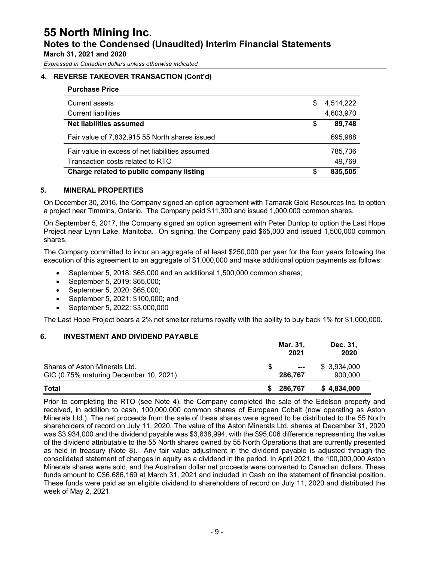*Expressed in Canadian dollars unless otherwise indicated*

#### **4. REVERSE TAKEOVER TRANSACTION (Cont'd)**

| <b>Purchase Price</b>                           |    |           |
|-------------------------------------------------|----|-----------|
| <b>Current assets</b>                           | S. | 4,514,222 |
| <b>Current liabilities</b>                      |    | 4,603,970 |
| Net liabilities assumed                         | \$ | 89,748    |
| Fair value of 7,832,915 55 North shares issued  |    | 695,988   |
| Fair value in excess of net liabilities assumed |    | 785,736   |
| Transaction costs related to RTO                |    | 49,769    |
| Charge related to public company listing        | S  | 835,505   |

#### **5. MINERAL PROPERTIES**

On December 30, 2016, the Company signed an option agreement with Tamarak Gold Resources Inc. to option a project near Timmins, Ontario. The Company paid \$11,300 and issued 1,000,000 common shares.

On September 5, 2017, the Company signed an option agreement with Peter Dunlop to option the Last Hope Project near Lynn Lake, Manitoba. On signing, the Company paid \$65,000 and issued 1,500,000 common shares.

The Company committed to incur an aggregate of at least \$250,000 per year for the four years following the execution of this agreement to an aggregate of \$1,000,000 and make additional option payments as follows:

- September 5, 2018: \$65,000 and an additional 1,500,000 common shares;
- September 5, 2019: \$65,000;
- September 5, 2020: \$65,000;
- September 5, 2021: \$100,000; and
- September 5, 2022: \$3,000,000

The Last Hope Project bears a 2% net smelter returns royalty with the ability to buy back 1% for \$1,000,000.

#### **6. INVESTMENT AND DIVIDEND PAYABLE**

|                                                                         | Mar. 31,<br>2021         | Dec. 31,<br>2020       |
|-------------------------------------------------------------------------|--------------------------|------------------------|
| Shares of Aston Minerals Ltd.<br>GIC (0.75% maturing December 10, 2021) | $\sim$ $\sim$<br>286,767 | \$3,934,000<br>900,000 |
| Total                                                                   | \$ 286,767               | \$4,834,000            |

Prior to completing the RTO (see Note 4), the Company completed the sale of the Edelson property and received, in addition to cash, 100,000,000 common shares of European Cobalt (now operating as Aston Minerals Ltd.). The net proceeds from the sale of these shares were agreed to be distributed to the 55 North shareholders of record on July 11, 2020. The value of the Aston Minerals Ltd. shares at December 31, 2020 was \$3,934,000 and the dividend payable was \$3,838,994, with the \$95,006 difference representing the value of the dividend attributable to the 55 North shares owned by 55 North Operations that are currently presented as held in treasury (Note 8). Any fair value adjustment in the dividend payable is adjusted through the consolidated statement of changes in equity as a dividend in the period. In April 2021, the 100,000,000 Aston Minerals shares were sold, and the Australian dollar net proceeds were converted to Canadian dollars. These funds amount to C\$6,686,169 at March 31, 2021 and included in Cash on the statement of financial position. These funds were paid as an eligible dividend to shareholders of record on July 11, 2020 and distributed the week of May 2, 2021.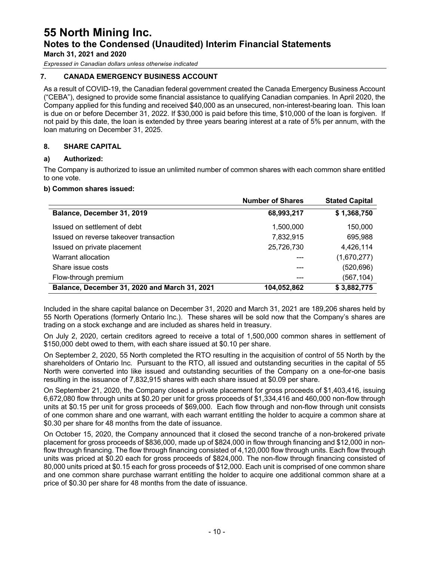## **55 North Mining Inc. Notes to the Condensed (Unaudited) Interim Financial Statements**

**March 31, 2021 and 2020**

*Expressed in Canadian dollars unless otherwise indicated*

#### **7. CANADA EMERGENCY BUSINESS ACCOUNT**

As a result of COVID-19, the Canadian federal government created the Canada Emergency Business Account ("CEBA"), designed to provide some financial assistance to qualifying Canadian companies. In April 2020, the Company applied for this funding and received \$40,000 as an unsecured, non-interest-bearing loan. This loan is due on or before December 31, 2022. If \$30,000 is paid before this time, \$10,000 of the loan is forgiven. If not paid by this date, the loan is extended by three years bearing interest at a rate of 5% per annum, with the loan maturing on December 31, 2025.

#### **8. SHARE CAPITAL**

#### **a) Authorized:**

The Company is authorized to issue an unlimited number of common shares with each common share entitled to one vote.

#### **b) Common shares issued:**

|                                               | <b>Number of Shares</b> | <b>Stated Capital</b> |
|-----------------------------------------------|-------------------------|-----------------------|
| Balance, December 31, 2019                    | 68,993,217              | \$1,368,750           |
| Issued on settlement of debt                  | 1,500,000               | 150,000               |
| Issued on reverse takeover transaction        | 7,832,915               | 695,988               |
| Issued on private placement                   | 25,726,730              | 4,426,114             |
| Warrant allocation                            |                         | (1,670,277)           |
| Share issue costs                             |                         | (520, 696)            |
| Flow-through premium                          |                         | (567, 104)            |
| Balance, December 31, 2020 and March 31, 2021 | 104,052,862             | \$3,882,775           |

Included in the share capital balance on December 31, 2020 and March 31, 2021 are 189,206 shares held by 55 North Operations (formerly Ontario Inc.). These shares will be sold now that the Company's shares are trading on a stock exchange and are included as shares held in treasury.

On July 2, 2020, certain creditors agreed to receive a total of 1,500,000 common shares in settlement of \$150,000 debt owed to them, with each share issued at \$0.10 per share.

On September 2, 2020, 55 North completed the RTO resulting in the acquisition of control of 55 North by the shareholders of Ontario Inc. Pursuant to the RTO, all issued and outstanding securities in the capital of 55 North were converted into like issued and outstanding securities of the Company on a one-for-one basis resulting in the issuance of 7,832,915 shares with each share issued at \$0.09 per share.

On September 21, 2020, the Company closed a private placement for gross proceeds of \$1,403,416, issuing 6,672,080 flow through units at \$0.20 per unit for gross proceeds of \$1,334,416 and 460,000 non-flow through units at \$0.15 per unit for gross proceeds of \$69,000. Each flow through and non-flow through unit consists of one common share and one warrant, with each warrant entitling the holder to acquire a common share at \$0.30 per share for 48 months from the date of issuance.

On October 15, 2020, the Company announced that it closed the second tranche of a non-brokered private placement for gross proceeds of \$836,000, made up of \$824,000 in flow through financing and \$12,000 in nonflow through financing. The flow through financing consisted of 4,120,000 flow through units. Each flow through units was priced at \$0.20 each for gross proceeds of \$824,000. The non-flow through financing consisted of 80,000 units priced at \$0.15 each for gross proceeds of \$12,000. Each unit is comprised of one common share and one common share purchase warrant entitling the holder to acquire one additional common share at a price of \$0.30 per share for 48 months from the date of issuance.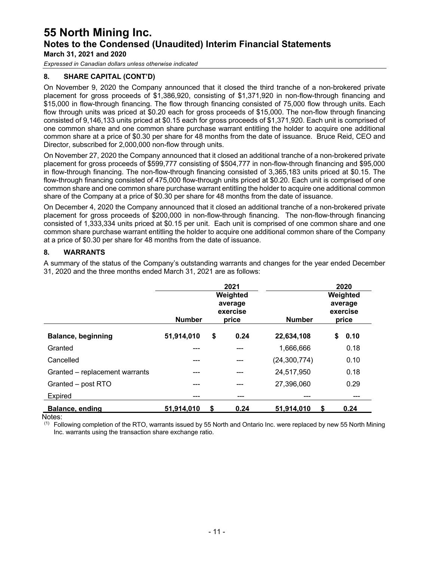*Expressed in Canadian dollars unless otherwise indicated*

#### **8. SHARE CAPITAL (CONT'D)**

On November 9, 2020 the Company announced that it closed the third tranche of a non-brokered private placement for gross proceeds of \$1,386,920, consisting of \$1,371,920 in non-flow-through financing and \$15,000 in flow-through financing. The flow through financing consisted of 75,000 flow through units. Each flow through units was priced at \$0.20 each for gross proceeds of \$15,000. The non-flow through financing consisted of 9,146,133 units priced at \$0.15 each for gross proceeds of \$1,371,920. Each unit is comprised of one common share and one common share purchase warrant entitling the holder to acquire one additional common share at a price of \$0.30 per share for 48 months from the date of issuance. Bruce Reid, CEO and Director, subscribed for 2,000,000 non-flow through units.

On November 27, 2020 the Company announced that it closed an additional tranche of a non-brokered private placement for gross proceeds of \$599,777 consisting of \$504,777 in non-flow-through financing and \$95,000 in flow-through financing. The non-flow-through financing consisted of 3,365,183 units priced at \$0.15. The flow-through financing consisted of 475,000 flow-through units priced at \$0.20. Each unit is comprised of one common share and one common share purchase warrant entitling the holder to acquire one additional common share of the Company at a price of \$0.30 per share for 48 months from the date of issuance.

On December 4, 2020 the Company announced that it closed an additional tranche of a non-brokered private placement for gross proceeds of \$200,000 in non-flow-through financing. The non-flow-through financing consisted of 1,333,334 units priced at \$0.15 per unit. Each unit is comprised of one common share and one common share purchase warrant entitling the holder to acquire one additional common share of the Company at a price of \$0.30 per share for 48 months from the date of issuance.

#### **8. WARRANTS**

A summary of the status of the Company's outstanding warrants and changes for the year ended December 31, 2020 and the three months ended March 31, 2021 are as follows:

|                                | <b>Number</b> | 2021<br>Weighted<br>average<br>exercise<br>price | <b>Number</b>  |    | 2020<br>Weighted<br>average<br>exercise<br>price |
|--------------------------------|---------------|--------------------------------------------------|----------------|----|--------------------------------------------------|
| <b>Balance, beginning</b>      | 51,914,010    | \$<br>0.24                                       | 22,634,108     | \$ | 0.10                                             |
| Granted                        |               | ---                                              | 1,666,666      |    | 0.18                                             |
| Cancelled                      | ---           | ---                                              | (24, 300, 774) |    | 0.10                                             |
| Granted - replacement warrants | ---           | ---                                              | 24,517,950     |    | 0.18                                             |
| Granted - post RTO             | ---           | ---                                              | 27,396,060     |    | 0.29                                             |
| Expired                        | ---           | ---                                              | ---            |    | ---                                              |
| Balance, ending                | 51,914,010    | \$<br>0.24                                       | 51,914,010     | S  | 0.24                                             |

Notes:

 $<sup>(1)</sup>$  Following completion of the RTO, warrants issued by 55 North and Ontario Inc. were replaced by new 55 North Mining</sup> Inc. warrants using the transaction share exchange ratio.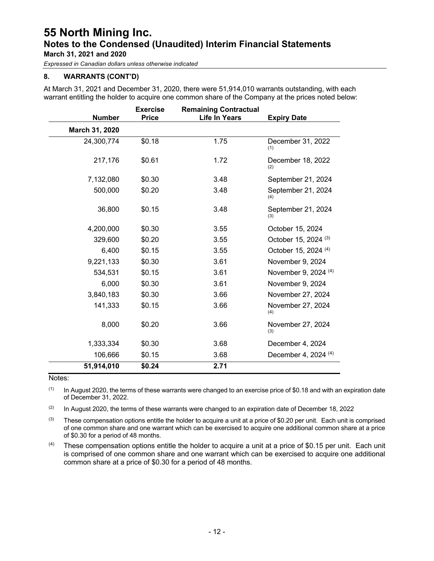*Expressed in Canadian dollars unless otherwise indicated*

#### **8. WARRANTS (CONT'D)**

At March 31, 2021 and December 31, 2020, there were 51,914,010 warrants outstanding, with each warrant entitling the holder to acquire one common share of the Company at the prices noted below:

| <b>Number</b>  | <b>Exercise</b><br><b>Price</b> | <b>Remaining Contractual</b><br><b>Life In Years</b> | <b>Expiry Date</b>              |
|----------------|---------------------------------|------------------------------------------------------|---------------------------------|
| March 31, 2020 |                                 |                                                      |                                 |
| 24,300,774     | \$0.18                          | 1.75                                                 | December 31, 2022<br>(1)        |
| 217,176        | \$0.61                          | 1.72                                                 | December 18, 2022<br>(2)        |
| 7,132,080      | \$0.30                          | 3.48                                                 | September 21, 2024              |
| 500,000        | \$0.20                          | 3.48                                                 | September 21, 2024<br>(4)       |
| 36,800         | \$0.15                          | 3.48                                                 | September 21, 2024<br>(3)       |
| 4,200,000      | \$0.30                          | 3.55                                                 | October 15, 2024                |
| 329,600        | \$0.20                          | 3.55                                                 | October 15, 2024 <sup>(3)</sup> |
| 6,400          | \$0.15                          | 3.55                                                 | October 15, 2024 <sup>(4)</sup> |
| 9,221,133      | \$0.30                          | 3.61                                                 | November 9, 2024                |
| 534,531        | \$0.15                          | 3.61                                                 | November 9, 2024 (4)            |
| 6,000          | \$0.30                          | 3.61                                                 | November 9, 2024                |
| 3,840,183      | \$0.30                          | 3.66                                                 | November 27, 2024               |
| 141,333        | \$0.15                          | 3.66                                                 | November 27, 2024<br>(4)        |
| 8,000          | \$0.20                          | 3.66                                                 | November 27, 2024<br>(3)        |
| 1,333,334      | \$0.30                          | 3.68                                                 | December 4, 2024                |
| 106,666        | \$0.15                          | 3.68                                                 | December 4, 2024 (4)            |
| 51,914,010     | \$0.24                          | 2.71                                                 |                                 |

#### Notes:

 $(1)$  In August 2020, the terms of these warrants were changed to an exercise price of \$0.18 and with an expiration date of December 31, 2022.

(2) In August 2020, the terms of these warrants were changed to an expiration date of December 18, 2022

 $(3)$  These compensation options entitle the holder to acquire a unit at a price of \$0.20 per unit. Each unit is comprised of one common share and one warrant which can be exercised to acquire one additional common share at a price of \$0.30 for a period of 48 months.

 $(4)$  These compensation options entitle the holder to acquire a unit at a price of \$0.15 per unit. Each unit is comprised of one common share and one warrant which can be exercised to acquire one additional common share at a price of \$0.30 for a period of 48 months.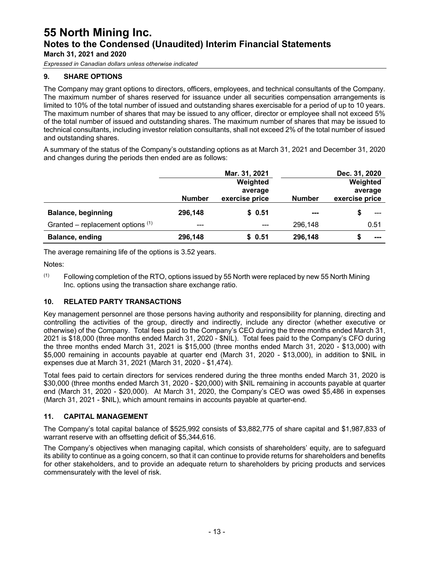*Expressed in Canadian dollars unless otherwise indicated*

#### **9. SHARE OPTIONS**

The Company may grant options to directors, officers, employees, and technical consultants of the Company. The maximum number of shares reserved for issuance under all securities compensation arrangements is limited to 10% of the total number of issued and outstanding shares exercisable for a period of up to 10 years. The maximum number of shares that may be issued to any officer, director or employee shall not exceed 5% of the total number of issued and outstanding shares. The maximum number of shares that may be issued to technical consultants, including investor relation consultants, shall not exceed 2% of the total number of issued and outstanding shares.

A summary of the status of the Company's outstanding options as at March 31, 2021 and December 31, 2020 and changes during the periods then ended are as follows:

|                                     |               | Mar. 31, 2021             |               | Dec. 31, 2020             |
|-------------------------------------|---------------|---------------------------|---------------|---------------------------|
|                                     |               | Weighted                  |               | Weighted                  |
|                                     | <b>Number</b> | average<br>exercise price | <b>Number</b> | average<br>exercise price |
| <b>Balance, beginning</b>           | 296,148       | \$0.51                    | $\sim$        |                           |
| Granted – replacement options $(1)$ | $---$         | ---                       | 296,148       | 0.51                      |
| Balance, ending                     | 296,148       | \$0.51                    | 296,148       | ---                       |

The average remaining life of the options is 3.52 years.

Notes:

 $(1)$  Following completion of the RTO, options issued by 55 North were replaced by new 55 North Mining Inc. options using the transaction share exchange ratio.

#### **10. RELATED PARTY TRANSACTIONS**

Key management personnel are those persons having authority and responsibility for planning, directing and controlling the activities of the group, directly and indirectly, include any director (whether executive or otherwise) of the Company. Total fees paid to the Company's CEO during the three months ended March 31, 2021 is \$18,000 (three months ended March 31, 2020 - \$NIL). Total fees paid to the Company's CFO during the three months ended March 31, 2021 is \$15,000 (three months ended March 31, 2020 - \$13,000) with \$5,000 remaining in accounts payable at quarter end (March 31, 2020 - \$13,000), in addition to \$NIL in expenses due at March 31, 2021 (March 31, 2020 - \$1,474).

Total fees paid to certain directors for services rendered during the three months ended March 31, 2020 is \$30,000 (three months ended March 31, 2020 - \$20,000) with \$NIL remaining in accounts payable at quarter end (March 31, 2020 - \$20,000). At March 31, 2020, the Company's CEO was owed \$5,486 in expenses (March 31, 2021 - \$NIL), which amount remains in accounts payable at quarter-end.

#### **11. CAPITAL MANAGEMENT**

The Company's total capital balance of \$525,992 consists of \$3,882,775 of share capital and \$1,987,833 of warrant reserve with an offsetting deficit of \$5,344,616.

The Company's objectives when managing capital, which consists of shareholders' equity, are to safeguard its ability to continue as a going concern, so that it can continue to provide returns for shareholders and benefits for other stakeholders, and to provide an adequate return to shareholders by pricing products and services commensurately with the level of risk.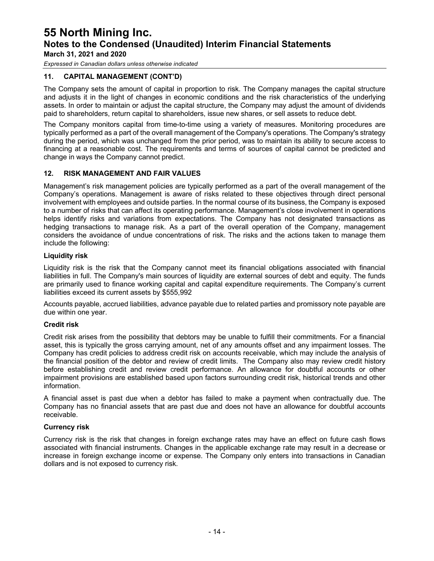## **55 North Mining Inc. Notes to the Condensed (Unaudited) Interim Financial Statements**

**March 31, 2021 and 2020**

*Expressed in Canadian dollars unless otherwise indicated*

#### **11. CAPITAL MANAGEMENT (CONT'D)**

The Company sets the amount of capital in proportion to risk. The Company manages the capital structure and adjusts it in the light of changes in economic conditions and the risk characteristics of the underlying assets. In order to maintain or adjust the capital structure, the Company may adjust the amount of dividends paid to shareholders, return capital to shareholders, issue new shares, or sell assets to reduce debt.

The Company monitors capital from time-to-time using a variety of measures. Monitoring procedures are typically performed as a part of the overall management of the Company's operations. The Company's strategy during the period, which was unchanged from the prior period, was to maintain its ability to secure access to financing at a reasonable cost. The requirements and terms of sources of capital cannot be predicted and change in ways the Company cannot predict.

#### **12. RISK MANAGEMENT AND FAIR VALUES**

Management's risk management policies are typically performed as a part of the overall management of the Company's operations. Management is aware of risks related to these objectives through direct personal involvement with employees and outside parties. In the normal course of its business, the Company is exposed to a number of risks that can affect its operating performance. Management's close involvement in operations helps identify risks and variations from expectations. The Company has not designated transactions as hedging transactions to manage risk. As a part of the overall operation of the Company, management considers the avoidance of undue concentrations of risk. The risks and the actions taken to manage them include the following:

#### **Liquidity risk**

Liquidity risk is the risk that the Company cannot meet its financial obligations associated with financial liabilities in full. The Company's main sources of liquidity are external sources of debt and equity. The funds are primarily used to finance working capital and capital expenditure requirements. The Company's current liabilities exceed its current assets by \$555,992

Accounts payable, accrued liabilities, advance payable due to related parties and promissory note payable are due within one year.

#### **Credit risk**

Credit risk arises from the possibility that debtors may be unable to fulfill their commitments. For a financial asset, this is typically the gross carrying amount, net of any amounts offset and any impairment losses. The Company has credit policies to address credit risk on accounts receivable, which may include the analysis of the financial position of the debtor and review of credit limits. The Company also may review credit history before establishing credit and review credit performance. An allowance for doubtful accounts or other impairment provisions are established based upon factors surrounding credit risk, historical trends and other information.

A financial asset is past due when a debtor has failed to make a payment when contractually due. The Company has no financial assets that are past due and does not have an allowance for doubtful accounts receivable.

#### **Currency risk**

Currency risk is the risk that changes in foreign exchange rates may have an effect on future cash flows associated with financial instruments. Changes in the applicable exchange rate may result in a decrease or increase in foreign exchange income or expense. The Company only enters into transactions in Canadian dollars and is not exposed to currency risk.